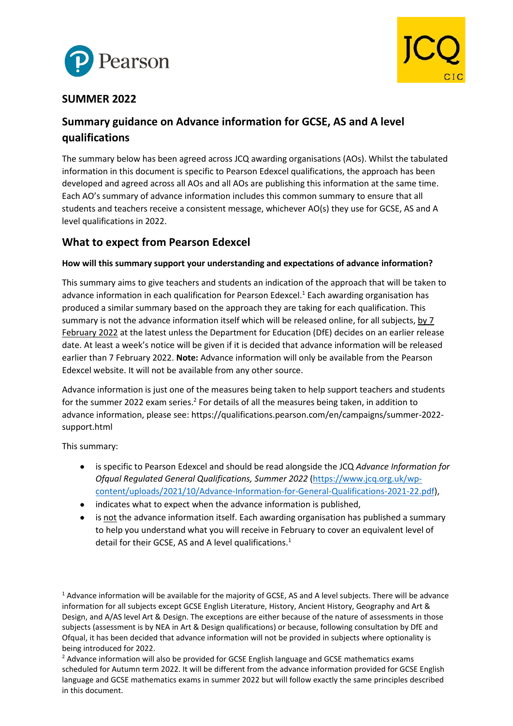



# **SUMMER 2022**

# **Summary guidance on Advance information for GCSE, AS and A level qualifications**

The summary below has been agreed across JCQ awarding organisations (AOs). Whilst the tabulated information in this document is specific to Pearson Edexcel qualifications, the approach has been developed and agreed across all AOs and all AOs are publishing this information at the same time. Each AO's summary of advance information includes this common summary to ensure that all students and teachers receive a consistent message, whichever AO(s) they use for GCSE, AS and A level qualifications in 2022.

# **What to expect from Pearson Edexcel**

## **How will this summary support your understanding and expectations of advance information?**

This summary aims to give teachers and students an indication of the approach that will be taken to advance information in each qualification for Pearson Edexcel. <sup>1</sup> Each awarding organisation has produced a similar summary based on the approach they are taking for each qualification. This summary is not the advance information itself which will be released online, for all subjects, by 7 February 2022 at the latest unless the Department for Education (DfE) decides on an earlier release date. At least a week's notice will be given if it is decided that advance information will be released earlier than 7 February 2022. **Note:** Advance information will only be available from the Pearson Edexcel website. It will not be available from any other source.

Advance information is just one of the measures being taken to help support teachers and students for the summer 2022 exam series.<sup>2</sup> For details of all the measures being taken, in addition to advance information, please see: https://qualifications.pearson.com/en/campaigns/summer-2022 support.html

This summary:

- is specific to Pearson Edexcel and should be read alongside the JCQ *Advance Information for Ofqual Regulated General Qualifications, Summer 2022* [\(https://www.jcq.org.uk/wp](https://www.jcq.org.uk/wp-content/uploads/2021/10/Advance-Information-for-General-Qualifications-2021-22.pdf)[content/uploads/2021/10/Advance-Information-for-General-Qualifications-2021-22.pdf\)](https://www.jcq.org.uk/wp-content/uploads/2021/10/Advance-Information-for-General-Qualifications-2021-22.pdf),
- indicates what to expect when the advance information is published,
- is not the advance information itself. Each awarding organisation has published a summary to help you understand what you will receive in February to cover an equivalent level of detail for their GCSE, AS and A level qualifications. $<sup>1</sup>$ </sup>

<sup>1</sup> Advance information will be available for the majority of GCSE, AS and A level subjects. There will be advance information for all subjects except GCSE English Literature, History, Ancient History, Geography and Art & Design, and A/AS level Art & Design. The exceptions are either because of the nature of assessments in those subjects (assessment is by NEA in Art & Design qualifications) or because, following consultation by DfE and Ofqual, it has been decided that advance information will not be provided in subjects where optionality is being introduced for 2022.

<sup>2</sup> Advance information will also be provided for GCSE English language and GCSE mathematics exams scheduled for Autumn term 2022. It will be different from the advance information provided for GCSE English language and GCSE mathematics exams in summer 2022 but will follow exactly the same principles described in this document.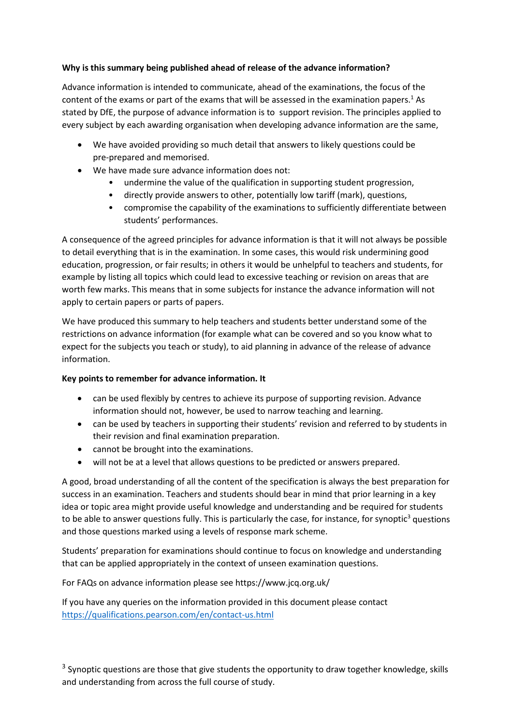## **Why is this summary being published ahead of release of the advance information?**

Advance information is intended to communicate, ahead of the examinations, the focus of the content of the exams or part of the exams that will be assessed in the examination papers.<sup>1</sup> As stated by DfE, the purpose of advance information is to support revision. The principles applied to every subject by each awarding organisation when developing advance information are the same,

- We have avoided providing so much detail that answers to likely questions could be pre-prepared and memorised.
- We have made sure advance information does not:
	- undermine the value of the qualification in supporting student progression,
	- directly provide answers to other, potentially low tariff (mark), questions,
	- compromise the capability of the examinations to sufficiently differentiate between students' performances.

A consequence of the agreed principles for advance information is that it will not always be possible to detail everything that is in the examination. In some cases, this would risk undermining good education, progression, or fair results; in others it would be unhelpful to teachers and students, for example by listing all topics which could lead to excessive teaching or revision on areas that are worth few marks. This means that in some subjects for instance the advance information will not apply to certain papers or parts of papers.

We have produced this summary to help teachers and students better understand some of the restrictions on advance information (for example what can be covered and so you know what to expect for the subjects you teach or study), to aid planning in advance of the release of advance information.

#### **Key points to remember for advance information. It**

- can be used flexibly by centres to achieve its purpose of supporting revision. Advance information should not, however, be used to narrow teaching and learning.
- can be used by teachers in supporting their students' revision and referred to by students in their revision and final examination preparation.
- cannot be brought into the examinations.
- will not be at a level that allows questions to be predicted or answers prepared.

A good, broad understanding of all the content of the specification is always the best preparation for success in an examination. Teachers and students should bear in mind that prior learning in a key idea or topic area might provide useful knowledge and understanding and be required for students to be able to answer questions fully. This is particularly the case, for instance, for synoptic $3$  questions and those questions marked using a levels of response mark scheme.

Students' preparation for examinations should continue to focus on knowledge and understanding that can be applied appropriately in the context of unseen examination questions.

For FAQs on advance information please see https://www.jcq.org.uk/

If you have any queries on the information provided in this document please contact <https://qualifications.pearson.com/en/contact-us.html>

 $3$  Synoptic questions are those that give students the opportunity to draw together knowledge, skills and understanding from across the full course of study.